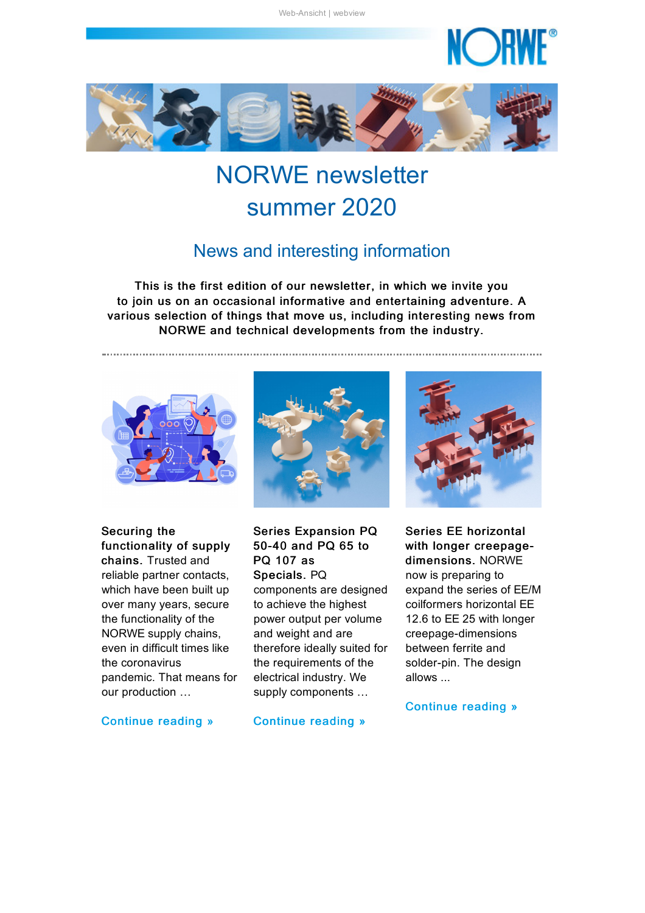NC DH

<span id="page-0-0"></span>

## NORWE newsletter summer 2020

#### News and interesting information

This is the first edition of our newsletter, in which we invite you to join us on an occasional informative and entertaining adventure. A various selection of things that move us, including interesting news from NORWE and technical developments from the industry.





Securing the functionality of supply chains. Trusted and reliable partner contacts, which have been built up over many years, secure the functionality of the NORWE supply chains, even in difficult times like the coronavirus pandemic. That means for our production …

[Continue](#page-1-0) reading »

Series Expansion PQ 50-40 and PQ 65 to PQ 107 as Specials. PQ components are designed to achieve the highest power output per volume and weight and are therefore ideally suited for the requirements of the electrical industry. We supply components …



Series EE horizontal with longer creepagedimensions. NORWE now is preparing to expand the series of EE/M coilformers horizontal EE 12.6 to EE 25 with longer creepage-dimensions between ferrite and solder-pin. The design allows ...

#### [Continue](#page-3-0) reading »

[Continue](#page-2-0) reading »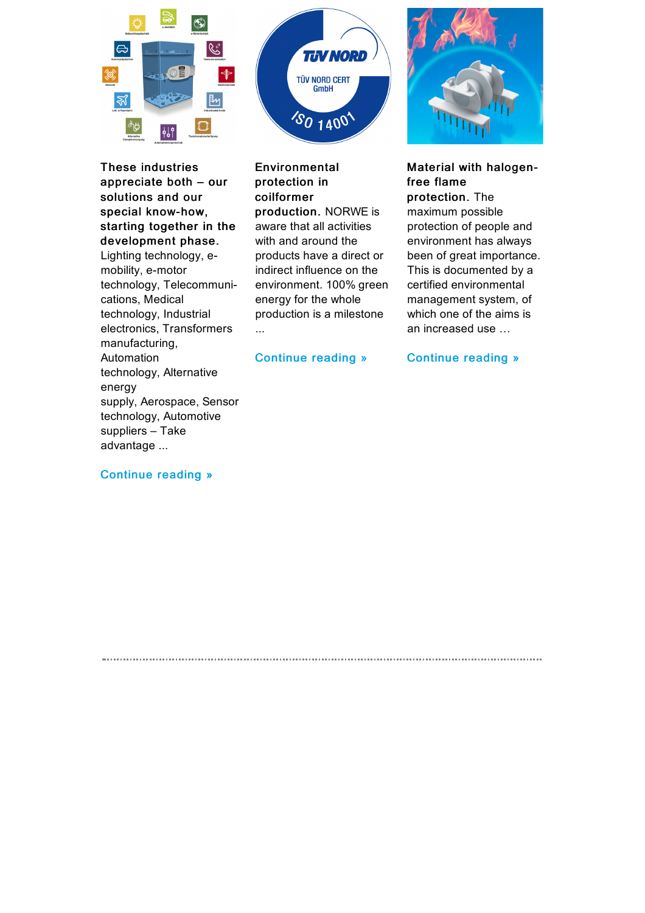



These industries appreciate both – our solutions and our special know-how, starting together in the development phase. Lighting technology, emobility, e-motor technology, Telecommunications, Medical technology, Industrial electronics, Transformers manufacturing, Automation technology, Alternative energy supply, Aerospace, Sensor technology, Automotive suppliers – Take advantage ...

Environmental protection in coilformer production. NORWE is aware that all activities with and around the products have a direct or indirect influence on the environment. 100% green energy for the whole production is a milestone ...

[Continue](#page-4-1) reading »

<span id="page-1-0"></span>



#### Material with halogenfree flame

protection. The maximum possible protection of people and environment has always been of great importance. This is documented by a certified environmental management system, of which one of the aims is an increased use …

[Continue](#page-5-0) reading »

#### [Continue](#page-4-0) reading »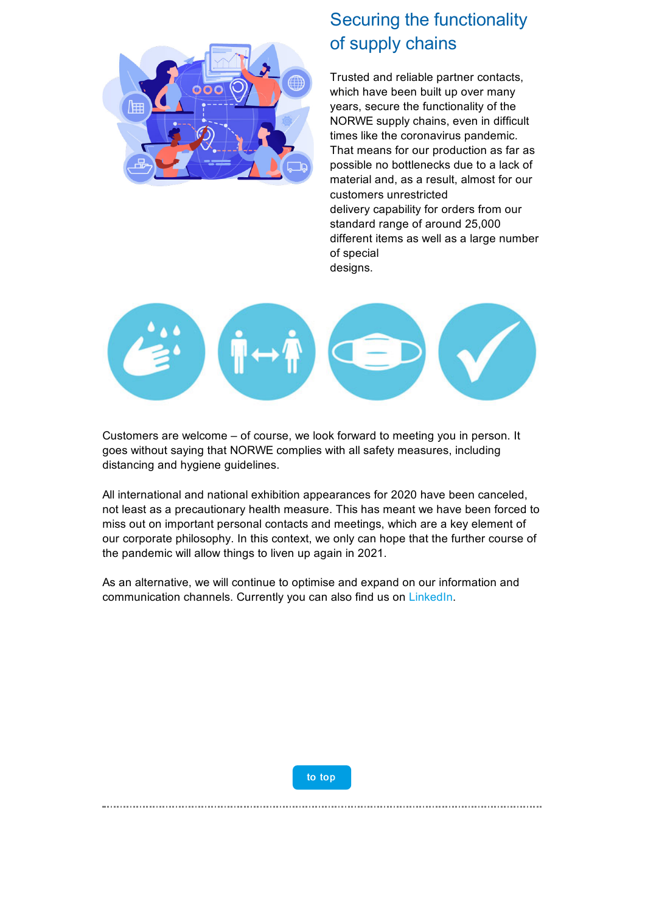

### Securing the functionality of supply chains

Trusted and reliable partner contacts, which have been built up over many years, secure the functionality of the NORWE supply chains, even in difficult times like the coronavirus pandemic. That means for our production as far as possible no bottlenecks due to a lack of material and, as a result, almost for our customers unrestricted delivery capability for orders from our standard range of around 25,000 different items as well as a large number of special designs.



Customers are welcome – of course, we look forward to meeting you in person. It goes without saying that NORWE complies with all safety measures, including distancing and hygiene guidelines.

All international and national exhibition appearances for 2020 have been canceled, not least as a precautionary health measure. This has meant we have been forced to miss out on important personal contacts and meetings, which are a key element of our corporate philosophy. In this context, we only can hope that the further course of the pandemic will allow things to liven up again in 2021.

As an alternative, we will continue to optimise and expand on our information and communication channels. Currently you can also find us on [LinkedIn.](https://taadea104.emailsys1a.net/c/177/3129671/0/0/0/122521/42c71baf50.html?testmail=yes)



<span id="page-2-0"></span>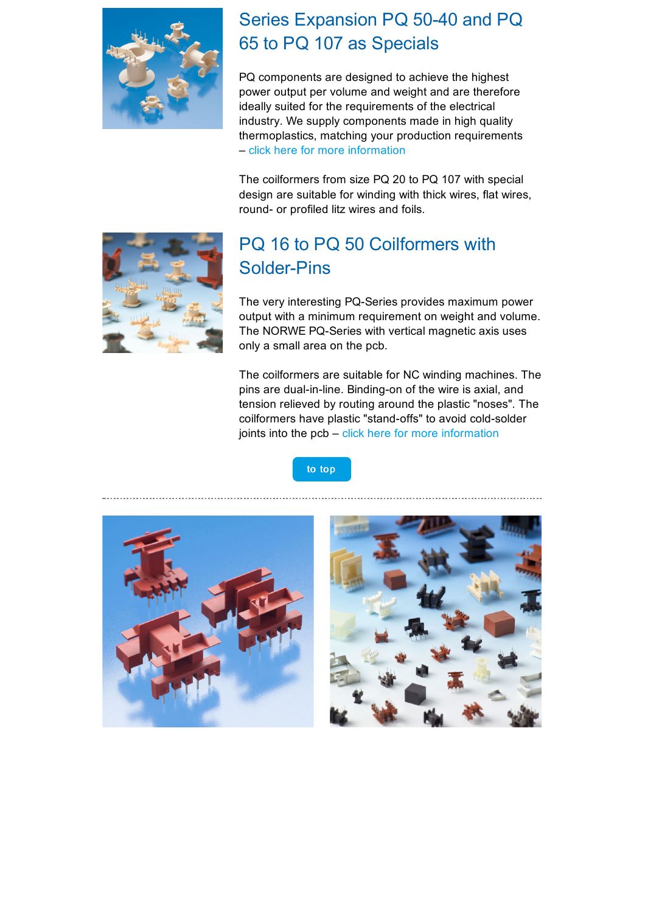

### Series Expansion PQ 50-40 and PQ 65 to PQ 107 as Specials

PQ components are designed to achieve the highest power output per volume and weight and are therefore ideally suited for the requirements of the electrical industry. We supply components made in high quality thermoplastics, matching your production requirements – click here for more [information](https://taadea104.emailsys1a.net/c/177/3129671/0/0/0/122477/bb499778ef.html?testmail=yes)

The coilformers from size PQ 20 to PQ 107 with special design are suitable for winding with thick wires, flat wires, round- or profiled litz wires and foils.



### PQ 16 to PQ 50 Coilformers with Solder-Pins

The very interesting PQ-Series provides maximum power output with a minimum requirement on weight and volume. The NORWE PQ-Series with vertical magnetic axis uses only a small area on the pcb.

The coilformers are suitable for NC winding machines. The pins are dual-in-line. Binding-on of the wire is axial, and tension relieved by routing around the plastic "noses". The coilformers have plastic "stand-offs" to avoid cold-solder joints into the  $pcb - click$  here for more [information](https://taadea104.emailsys1a.net/c/177/3129671/0/0/0/122481/2ec16a61db.html?testmail=yes)

<span id="page-3-0"></span>



to [top](#page-0-0)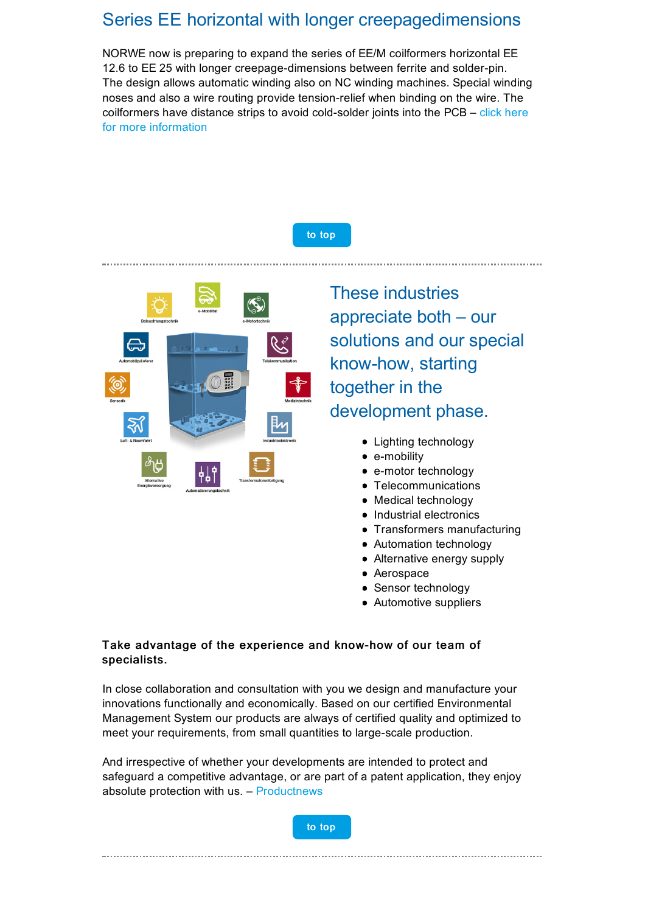#### Series EE horizontal with longer creepagedimensions

NORWE now is preparing to expand the series of EE/M coilformers horizontal EE 12.6 to EE 25 with longer creepage-dimensions between ferrite and solder-pin. The design allows automatic winding also on NC winding machines. Special winding noses and also a wire routing provide tension-relief when binding on the wire. The coilformers have distance strips to avoid cold-solder joints into the PCB – click here for more [information](https://taadea104.emailsys1a.net/c/177/3129671/0/0/0/122485/2acca606b4.html?testmail=yes)

to [top](#page-0-0)

<span id="page-4-0"></span>

These industries appreciate both – our solutions and our special know-how, starting together in the development phase.

- Lighting technology
- e-mobility
- e-motor technology
- **Telecommunications**
- Medical technology
- Industrial electronics
- **Transformers manufacturing**
- Automation technology
- Alternative energy supply
- Aerospace
- **Sensor technology**
- Automotive suppliers

#### Take advantage of the experience and know-how of our team of specialists.

In close collaboration and consultation with you we design and manufacture your innovations functionally and economically. Based on our certified Environmental Management System our products are always of certified quality and optimized to meet your requirements, from small quantities to large-scale production.

And irrespective of whether your developments are intended to protect and safeguard a competitive advantage, or are part of a patent application, they enjoy absolute protection with us. – [Productnews](https://taadea104.emailsys1a.net/c/177/3129671/0/0/0/122621/8e0ef9a5aa.html?testmail=yes)



<span id="page-4-1"></span>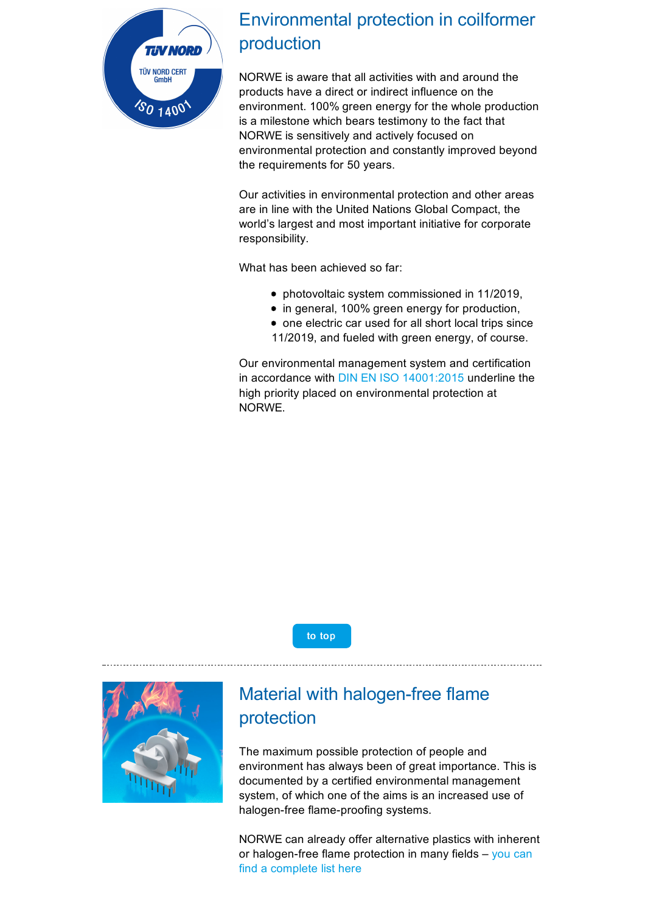

### Environmental protection in coilformer production

NORWE is aware that all activities with and around the products have a direct or indirect influence on the environment. 100% green energy for the whole production is a milestone which bears testimony to the fact that NORWE is sensitively and actively focused on environmental protection and constantly improved beyond the requirements for 50 years.

Our activities in environmental protection and other areas are in line with the United Nations Global Compact, the world's largest and most important initiative for corporate responsibility.

What has been achieved so far:

- photovoltaic system commissioned in 11/2019,
- in general, 100% green energy for production,
- one electric car used for all short local trips since 11/2019, and fueled with green energy, of course.

Our environmental management system and certification in accordance with DIN EN ISO [14001:2015](https://taadea104.emailsys1a.net/c/177/3129671/0/0/0/122613/08a9a74bcf.html?testmail=yes) underline the high priority placed on environmental protection at NORWE.

to [top](#page-0-0)

<span id="page-5-0"></span>

### Material with halogen-free flame protection

The maximum possible protection of people and environment has always been of great importance. This is documented by a certified environmental management system, of which one of the aims is an increased use of halogen-free flame-proofing systems.

NORWE can already offer alternative plastics with inherent or [halogen-free](https://taadea104.emailsys1a.net/c/177/3129671/0/0/0/122617/447a117250.html?testmail=yes) flame protection in many fields  $-$  you can find a complete list here